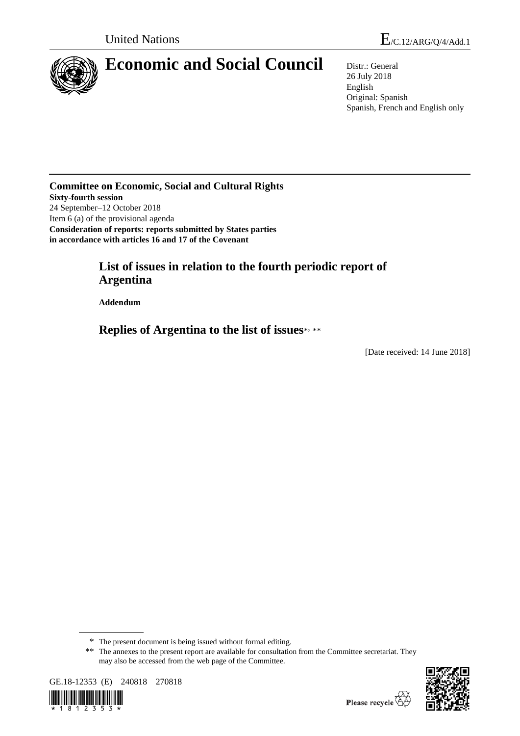

# **Economic and Social Council** Distr.: General

26 July 2018 English Original: Spanish Spanish, French and English only

**Committee on Economic, Social and Cultural Rights Sixty-fourth session** 24 September–12 October 2018 Item 6 (a) of the provisional agenda **Consideration of reports: reports submitted by States parties in accordance with articles 16 and 17 of the Covenant**

# **List of issues in relation to the fourth periodic report of Argentina**

**Addendum**

**Replies of Argentina to the list of issues**\* , \*\*

[Date received: 14 June 2018]

<sup>\*\*</sup> The annexes to the present report are available for consultation from the Committee secretariat. They may also be accessed from the web page of the Committee.





<sup>\*</sup> The present document is being issued without formal editing.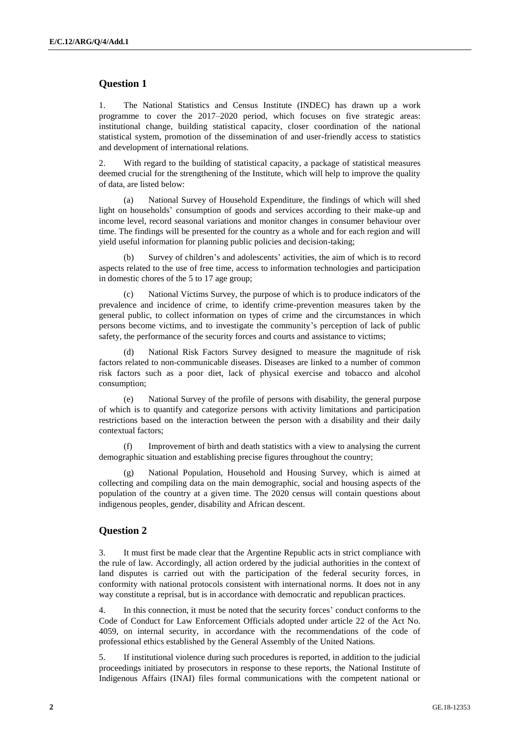#### **Question 1**

1. The National Statistics and Census Institute (INDEC) has drawn up a work programme to cover the 2017–2020 period, which focuses on five strategic areas: institutional change, building statistical capacity, closer coordination of the national statistical system, promotion of the dissemination of and user-friendly access to statistics and development of international relations.

2. With regard to the building of statistical capacity, a package of statistical measures deemed crucial for the strengthening of the Institute, which will help to improve the quality of data, are listed below:

(a) National Survey of Household Expenditure, the findings of which will shed light on households' consumption of goods and services according to their make-up and income level, record seasonal variations and monitor changes in consumer behaviour over time. The findings will be presented for the country as a whole and for each region and will yield useful information for planning public policies and decision-taking;

(b) Survey of children's and adolescents' activities, the aim of which is to record aspects related to the use of free time, access to information technologies and participation in domestic chores of the 5 to 17 age group;

(c) National Victims Survey, the purpose of which is to produce indicators of the prevalence and incidence of crime, to identify crime-prevention measures taken by the general public, to collect information on types of crime and the circumstances in which persons become victims, and to investigate the community's perception of lack of public safety, the performance of the security forces and courts and assistance to victims;

National Risk Factors Survey designed to measure the magnitude of risk factors related to non-communicable diseases. Diseases are linked to a number of common risk factors such as a poor diet, lack of physical exercise and tobacco and alcohol consumption;

(e) National Survey of the profile of persons with disability, the general purpose of which is to quantify and categorize persons with activity limitations and participation restrictions based on the interaction between the person with a disability and their daily contextual factors;

Improvement of birth and death statistics with a view to analysing the current demographic situation and establishing precise figures throughout the country;

(g) National Population, Household and Housing Survey, which is aimed at collecting and compiling data on the main demographic, social and housing aspects of the population of the country at a given time. The 2020 census will contain questions about indigenous peoples, gender, disability and African descent.

#### **Question 2**

3. It must first be made clear that the Argentine Republic acts in strict compliance with the rule of law. Accordingly, all action ordered by the judicial authorities in the context of land disputes is carried out with the participation of the federal security forces, in conformity with national protocols consistent with international norms. It does not in any way constitute a reprisal, but is in accordance with democratic and republican practices.

4. In this connection, it must be noted that the security forces' conduct conforms to the Code of Conduct for Law Enforcement Officials adopted under article 22 of the Act No. 4059, on internal security, in accordance with the recommendations of the code of professional ethics established by the General Assembly of the United Nations.

5. If institutional violence during such procedures is reported, in addition to the judicial proceedings initiated by prosecutors in response to these reports, the National Institute of Indigenous Affairs (INAI) files formal communications with the competent national or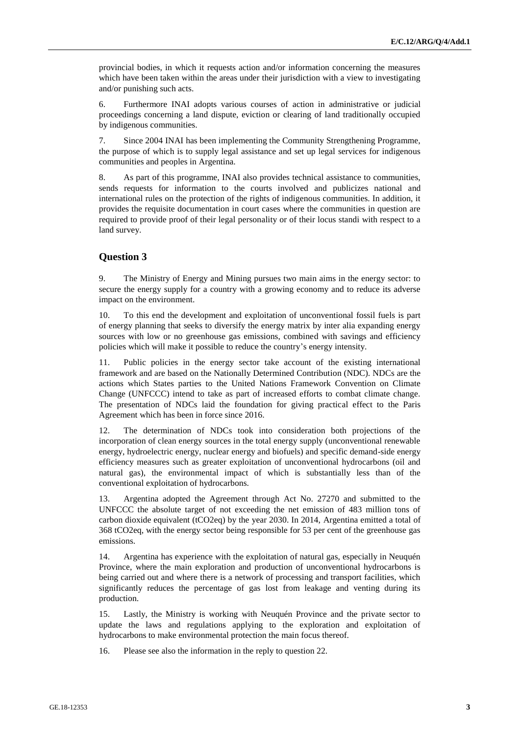provincial bodies, in which it requests action and/or information concerning the measures which have been taken within the areas under their jurisdiction with a view to investigating and/or punishing such acts.

6. Furthermore INAI adopts various courses of action in administrative or judicial proceedings concerning a land dispute, eviction or clearing of land traditionally occupied by indigenous communities.

7. Since 2004 INAI has been implementing the Community Strengthening Programme, the purpose of which is to supply legal assistance and set up legal services for indigenous communities and peoples in Argentina.

8. As part of this programme, INAI also provides technical assistance to communities, sends requests for information to the courts involved and publicizes national and international rules on the protection of the rights of indigenous communities. In addition, it provides the requisite documentation in court cases where the communities in question are required to provide proof of their legal personality or of their locus standi with respect to a land survey.

## **Question 3**

9. The Ministry of Energy and Mining pursues two main aims in the energy sector: to secure the energy supply for a country with a growing economy and to reduce its adverse impact on the environment.

10. To this end the development and exploitation of unconventional fossil fuels is part of energy planning that seeks to diversify the energy matrix by inter alia expanding energy sources with low or no greenhouse gas emissions, combined with savings and efficiency policies which will make it possible to reduce the country's energy intensity.

11. Public policies in the energy sector take account of the existing international framework and are based on the Nationally Determined Contribution (NDC). NDCs are the actions which States parties to the United Nations Framework Convention on Climate Change (UNFCCC) intend to take as part of increased efforts to combat climate change. The presentation of NDCs laid the foundation for giving practical effect to the Paris Agreement which has been in force since 2016.

12. The determination of NDCs took into consideration both projections of the incorporation of clean energy sources in the total energy supply (unconventional renewable energy, hydroelectric energy, nuclear energy and biofuels) and specific demand-side energy efficiency measures such as greater exploitation of unconventional hydrocarbons (oil and natural gas), the environmental impact of which is substantially less than of the conventional exploitation of hydrocarbons.

13. Argentina adopted the Agreement through Act No. 27270 and submitted to the UNFCCC the absolute target of not exceeding the net emission of 483 million tons of carbon dioxide equivalent (tCO2eq) by the year 2030. In 2014, Argentina emitted a total of 368 tCO2eq, with the energy sector being responsible for 53 per cent of the greenhouse gas emissions.

14. Argentina has experience with the exploitation of natural gas, especially in Neuquén Province, where the main exploration and production of unconventional hydrocarbons is being carried out and where there is a network of processing and transport facilities, which significantly reduces the percentage of gas lost from leakage and venting during its production.

15. Lastly, the Ministry is working with Neuquén Province and the private sector to update the laws and regulations applying to the exploration and exploitation of hydrocarbons to make environmental protection the main focus thereof.

16. Please see also the information in the reply to question 22.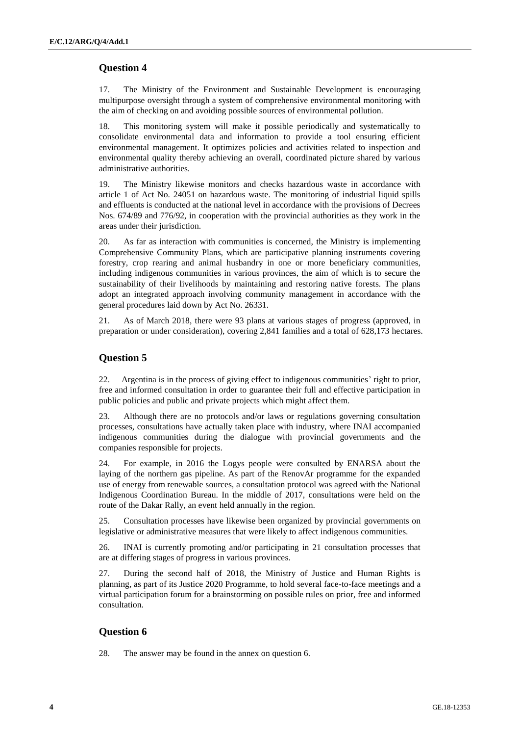#### **Question 4**

17. The Ministry of the Environment and Sustainable Development is encouraging multipurpose oversight through a system of comprehensive environmental monitoring with the aim of checking on and avoiding possible sources of environmental pollution.

18. This monitoring system will make it possible periodically and systematically to consolidate environmental data and information to provide a tool ensuring efficient environmental management. It optimizes policies and activities related to inspection and environmental quality thereby achieving an overall, coordinated picture shared by various administrative authorities.

19. The Ministry likewise monitors and checks hazardous waste in accordance with article 1 of Act No. 24051 on hazardous waste. The monitoring of industrial liquid spills and effluents is conducted at the national level in accordance with the provisions of Decrees Nos. 674/89 and 776/92, in cooperation with the provincial authorities as they work in the areas under their jurisdiction.

20. As far as interaction with communities is concerned, the Ministry is implementing Comprehensive Community Plans, which are participative planning instruments covering forestry, crop rearing and animal husbandry in one or more beneficiary communities, including indigenous communities in various provinces, the aim of which is to secure the sustainability of their livelihoods by maintaining and restoring native forests. The plans adopt an integrated approach involving community management in accordance with the general procedures laid down by Act No. 26331.

21. As of March 2018, there were 93 plans at various stages of progress (approved, in preparation or under consideration), covering 2,841 families and a total of 628,173 hectares.

#### **Question 5**

22. Argentina is in the process of giving effect to indigenous communities' right to prior, free and informed consultation in order to guarantee their full and effective participation in public policies and public and private projects which might affect them.

23. Although there are no protocols and/or laws or regulations governing consultation processes, consultations have actually taken place with industry, where INAI accompanied indigenous communities during the dialogue with provincial governments and the companies responsible for projects.

24. For example, in 2016 the Logys people were consulted by ENARSA about the laying of the northern gas pipeline. As part of the RenovAr programme for the expanded use of energy from renewable sources, a consultation protocol was agreed with the National Indigenous Coordination Bureau. In the middle of 2017, consultations were held on the route of the Dakar Rally, an event held annually in the region.

25. Consultation processes have likewise been organized by provincial governments on legislative or administrative measures that were likely to affect indigenous communities.

26. INAI is currently promoting and/or participating in 21 consultation processes that are at differing stages of progress in various provinces.

27. During the second half of 2018, the Ministry of Justice and Human Rights is planning, as part of its Justice 2020 Programme, to hold several face-to-face meetings and a virtual participation forum for a brainstorming on possible rules on prior, free and informed consultation.

#### **Question 6**

28. The answer may be found in the annex on question 6.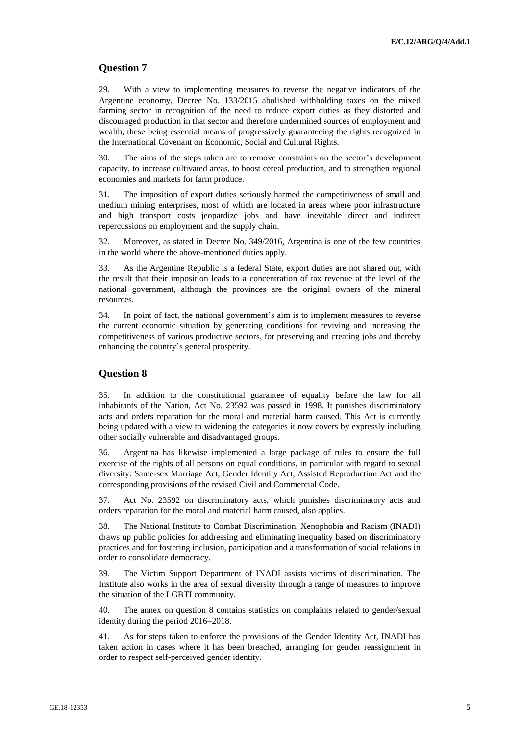#### **Question 7**

29. With a view to implementing measures to reverse the negative indicators of the Argentine economy, Decree No. 133/2015 abolished withholding taxes on the mixed farming sector in recognition of the need to reduce export duties as they distorted and discouraged production in that sector and therefore undermined sources of employment and wealth, these being essential means of progressively guaranteeing the rights recognized in the International Covenant on Economic, Social and Cultural Rights.

30. The aims of the steps taken are to remove constraints on the sector's development capacity, to increase cultivated areas, to boost cereal production, and to strengthen regional economies and markets for farm produce.

31. The imposition of export duties seriously harmed the competitiveness of small and medium mining enterprises, most of which are located in areas where poor infrastructure and high transport costs jeopardize jobs and have inevitable direct and indirect repercussions on employment and the supply chain.

32. Moreover, as stated in Decree No. 349/2016, Argentina is one of the few countries in the world where the above-mentioned duties apply.

33. As the Argentine Republic is a federal State, export duties are not shared out, with the result that their imposition leads to a concentration of tax revenue at the level of the national government, although the provinces are the original owners of the mineral resources.

34. In point of fact, the national government's aim is to implement measures to reverse the current economic situation by generating conditions for reviving and increasing the competitiveness of various productive sectors, for preserving and creating jobs and thereby enhancing the country's general prosperity.

#### **Question 8**

35. In addition to the constitutional guarantee of equality before the law for all inhabitants of the Nation, Act No. 23592 was passed in 1998. It punishes discriminatory acts and orders reparation for the moral and material harm caused. This Act is currently being updated with a view to widening the categories it now covers by expressly including other socially vulnerable and disadvantaged groups.

36. Argentina has likewise implemented a large package of rules to ensure the full exercise of the rights of all persons on equal conditions, in particular with regard to sexual diversity: Same-sex Marriage Act, Gender Identity Act, Assisted Reproduction Act and the corresponding provisions of the revised Civil and Commercial Code.

37. Act No. 23592 on discriminatory acts, which punishes discriminatory acts and orders reparation for the moral and material harm caused, also applies.

38. The National Institute to Combat Discrimination, Xenophobia and Racism (INADI) draws up public policies for addressing and eliminating inequality based on discriminatory practices and for fostering inclusion, participation and a transformation of social relations in order to consolidate democracy.

39. The Victim Support Department of INADI assists victims of discrimination. The Institute also works in the area of sexual diversity through a range of measures to improve the situation of the LGBTI community.

40. The annex on question 8 contains statistics on complaints related to gender/sexual identity during the period 2016–2018.

41. As for steps taken to enforce the provisions of the Gender Identity Act, INADI has taken action in cases where it has been breached, arranging for gender reassignment in order to respect self-perceived gender identity.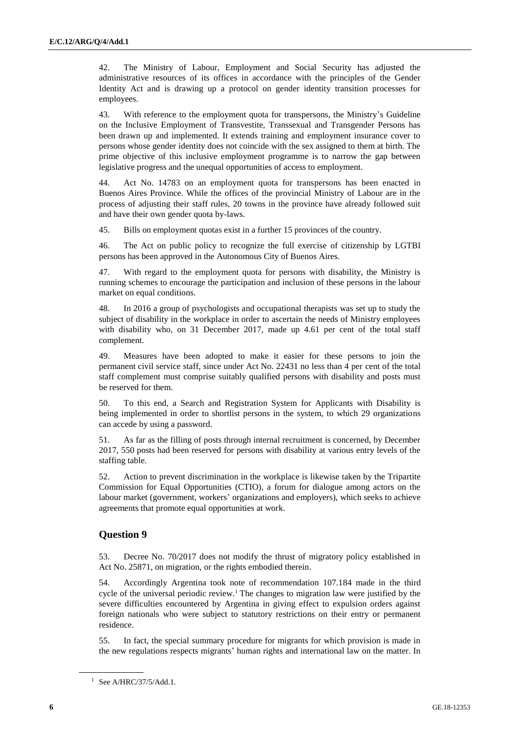42. The Ministry of Labour, Employment and Social Security has adjusted the administrative resources of its offices in accordance with the principles of the Gender Identity Act and is drawing up a protocol on gender identity transition processes for employees.

43. With reference to the employment quota for transpersons, the Ministry's Guideline on the Inclusive Employment of Transvestite, Transsexual and Transgender Persons has been drawn up and implemented. It extends training and employment insurance cover to persons whose gender identity does not coincide with the sex assigned to them at birth. The prime objective of this inclusive employment programme is to narrow the gap between legislative progress and the unequal opportunities of access to employment.

44. Act No. 14783 on an employment quota for transpersons has been enacted in Buenos Aires Province. While the offices of the provincial Ministry of Labour are in the process of adjusting their staff rules, 20 towns in the province have already followed suit and have their own gender quota by-laws.

45. Bills on employment quotas exist in a further 15 provinces of the country.

46. The Act on public policy to recognize the full exercise of citizenship by LGTBI persons has been approved in the Autonomous City of Buenos Aires.

47. With regard to the employment quota for persons with disability, the Ministry is running schemes to encourage the participation and inclusion of these persons in the labour market on equal conditions.

48. In 2016 a group of psychologists and occupational therapists was set up to study the subject of disability in the workplace in order to ascertain the needs of Ministry employees with disability who, on 31 December 2017, made up 4.61 per cent of the total staff complement.

49. Measures have been adopted to make it easier for these persons to join the permanent civil service staff, since under Act No. 22431 no less than 4 per cent of the total staff complement must comprise suitably qualified persons with disability and posts must be reserved for them.

50. To this end, a Search and Registration System for Applicants with Disability is being implemented in order to shortlist persons in the system, to which 29 organizations can accede by using a password.

51. As far as the filling of posts through internal recruitment is concerned, by December 2017, 550 posts had been reserved for persons with disability at various entry levels of the staffing table.

52. Action to prevent discrimination in the workplace is likewise taken by the Tripartite Commission for Equal Opportunities (CTIO), a forum for dialogue among actors on the labour market (government, workers' organizations and employers), which seeks to achieve agreements that promote equal opportunities at work.

# **Question 9**

53. Decree No. 70/2017 does not modify the thrust of migratory policy established in Act No. 25871, on migration, or the rights embodied therein.

54. Accordingly Argentina took note of recommendation 107.184 made in the third cycle of the universal periodic review.<sup>1</sup> The changes to migration law were justified by the severe difficulties encountered by Argentina in giving effect to expulsion orders against foreign nationals who were subject to statutory restrictions on their entry or permanent residence.

55. In fact, the special summary procedure for migrants for which provision is made in the new regulations respects migrants' human rights and international law on the matter. In

<sup>1</sup> See A/HRC/37/5/Add.1.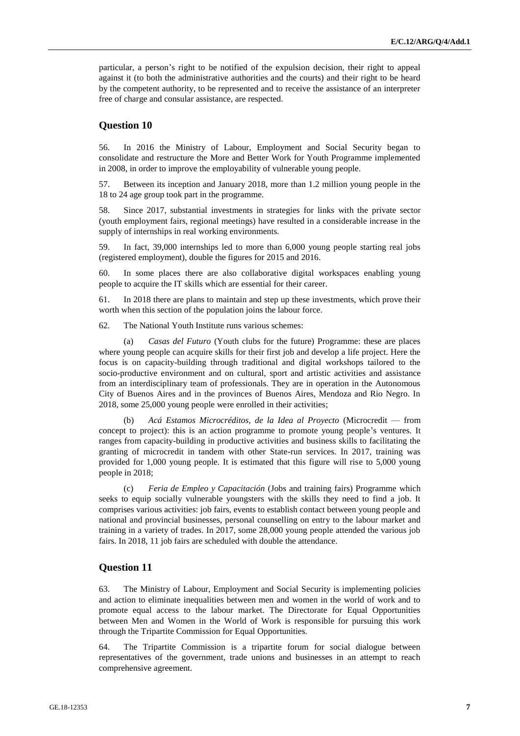particular, a person's right to be notified of the expulsion decision, their right to appeal against it (to both the administrative authorities and the courts) and their right to be heard by the competent authority, to be represented and to receive the assistance of an interpreter free of charge and consular assistance, are respected.

#### **Question 10**

56. In 2016 the Ministry of Labour, Employment and Social Security began to consolidate and restructure the More and Better Work for Youth Programme implemented in 2008, in order to improve the employability of vulnerable young people.

57. Between its inception and January 2018, more than 1.2 million young people in the 18 to 24 age group took part in the programme.

58. Since 2017, substantial investments in strategies for links with the private sector (youth employment fairs, regional meetings) have resulted in a considerable increase in the supply of internships in real working environments.

59. In fact, 39,000 internships led to more than 6,000 young people starting real jobs (registered employment), double the figures for 2015 and 2016.

60. In some places there are also collaborative digital workspaces enabling young people to acquire the IT skills which are essential for their career.

61. In 2018 there are plans to maintain and step up these investments, which prove their worth when this section of the population joins the labour force.

62. The National Youth Institute runs various schemes:

(a) *Casas del Futuro* (Youth clubs for the future) Programme: these are places where young people can acquire skills for their first job and develop a life project. Here the focus is on capacity-building through traditional and digital workshops tailored to the socio-productive environment and on cultural, sport and artistic activities and assistance from an interdisciplinary team of professionals. They are in operation in the Autonomous City of Buenos Aires and in the provinces of Buenos Aires, Mendoza and Rio Negro. In 2018, some 25,000 young people were enrolled in their activities;

(b) *Acá Estamos Microcréditos, de la Idea al Proyecto* (Microcredit — from concept to project): this is an action programme to promote young people's ventures. It ranges from capacity-building in productive activities and business skills to facilitating the granting of microcredit in tandem with other State-run services. In 2017, training was provided for 1,000 young people. It is estimated that this figure will rise to 5,000 young people in 2018;

(c) *Feria de Empleo y Capacitación* (Jobs and training fairs) Programme which seeks to equip socially vulnerable youngsters with the skills they need to find a job. It comprises various activities: job fairs, events to establish contact between young people and national and provincial businesses, personal counselling on entry to the labour market and training in a variety of trades. In 2017, some 28,000 young people attended the various job fairs. In 2018, 11 job fairs are scheduled with double the attendance.

#### **Question 11**

63. The Ministry of Labour, Employment and Social Security is implementing policies and action to eliminate inequalities between men and women in the world of work and to promote equal access to the labour market. The Directorate for Equal Opportunities between Men and Women in the World of Work is responsible for pursuing this work through the Tripartite Commission for Equal Opportunities.

64. The Tripartite Commission is a tripartite forum for social dialogue between representatives of the government, trade unions and businesses in an attempt to reach comprehensive agreement.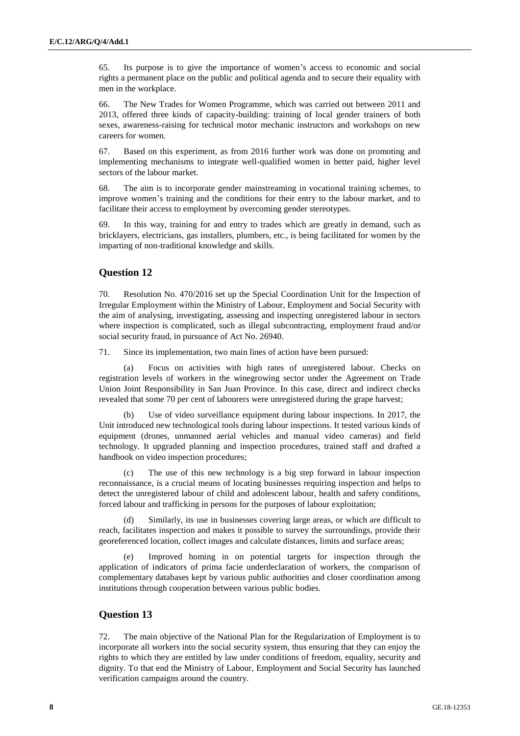65. Its purpose is to give the importance of women's access to economic and social rights a permanent place on the public and political agenda and to secure their equality with men in the workplace.

66. The New Trades for Women Programme, which was carried out between 2011 and 2013, offered three kinds of capacity-building: training of local gender trainers of both sexes, awareness-raising for technical motor mechanic instructors and workshops on new careers for women.

67. Based on this experiment, as from 2016 further work was done on promoting and implementing mechanisms to integrate well-qualified women in better paid, higher level sectors of the labour market.

68. The aim is to incorporate gender mainstreaming in vocational training schemes, to improve women's training and the conditions for their entry to the labour market, and to facilitate their access to employment by overcoming gender stereotypes.

69. In this way, training for and entry to trades which are greatly in demand, such as bricklayers, electricians, gas installers, plumbers, etc., is being facilitated for women by the imparting of non-traditional knowledge and skills.

## **Question 12**

70. Resolution No. 470/2016 set up the Special Coordination Unit for the Inspection of Irregular Employment within the Ministry of Labour, Employment and Social Security with the aim of analysing, investigating, assessing and inspecting unregistered labour in sectors where inspection is complicated, such as illegal subcontracting, employment fraud and/or social security fraud, in pursuance of Act No. 26940.

71. Since its implementation, two main lines of action have been pursued:

(a) Focus on activities with high rates of unregistered labour. Checks on registration levels of workers in the winegrowing sector under the Agreement on Trade Union Joint Responsibility in San Juan Province. In this case, direct and indirect checks revealed that some 70 per cent of labourers were unregistered during the grape harvest;

(b) Use of video surveillance equipment during labour inspections. In 2017, the Unit introduced new technological tools during labour inspections. It tested various kinds of equipment (drones, unmanned aerial vehicles and manual video cameras) and field technology. It upgraded planning and inspection procedures, trained staff and drafted a handbook on video inspection procedures;

(c) The use of this new technology is a big step forward in labour inspection reconnaissance, is a crucial means of locating businesses requiring inspection and helps to detect the unregistered labour of child and adolescent labour, health and safety conditions, forced labour and trafficking in persons for the purposes of labour exploitation;

(d) Similarly, its use in businesses covering large areas, or which are difficult to reach, facilitates inspection and makes it possible to survey the surroundings, provide their georeferenced location, collect images and calculate distances, limits and surface areas;

(e) Improved homing in on potential targets for inspection through the application of indicators of prima facie underdeclaration of workers, the comparison of complementary databases kept by various public authorities and closer coordination among institutions through cooperation between various public bodies.

#### **Question 13**

72. The main objective of the National Plan for the Regularization of Employment is to incorporate all workers into the social security system, thus ensuring that they can enjoy the rights to which they are entitled by law under conditions of freedom, equality, security and dignity. To that end the Ministry of Labour, Employment and Social Security has launched verification campaigns around the country.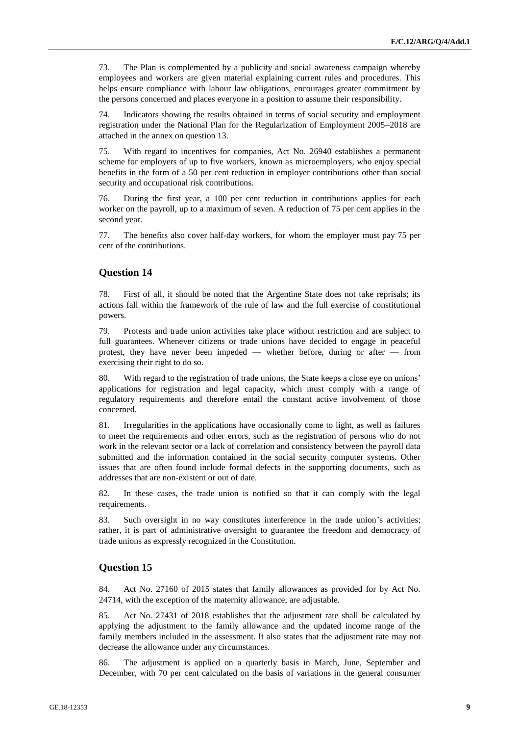73. The Plan is complemented by a publicity and social awareness campaign whereby employees and workers are given material explaining current rules and procedures. This helps ensure compliance with labour law obligations, encourages greater commitment by the persons concerned and places everyone in a position to assume their responsibility.

74. Indicators showing the results obtained in terms of social security and employment registration under the National Plan for the Regularization of Employment 2005–2018 are attached in the annex on question 13.

75. With regard to incentives for companies, Act No. 26940 establishes a permanent scheme for employers of up to five workers, known as microemployers, who enjoy special benefits in the form of a 50 per cent reduction in employer contributions other than social security and occupational risk contributions.

76. During the first year, a 100 per cent reduction in contributions applies for each worker on the payroll, up to a maximum of seven. A reduction of 75 per cent applies in the second year.

77. The benefits also cover half-day workers, for whom the employer must pay 75 per cent of the contributions.

#### **Question 14**

78. First of all, it should be noted that the Argentine State does not take reprisals; its actions fall within the framework of the rule of law and the full exercise of constitutional powers.

79. Protests and trade union activities take place without restriction and are subject to full guarantees. Whenever citizens or trade unions have decided to engage in peaceful protest, they have never been impeded — whether before, during or after — from exercising their right to do so.

80. With regard to the registration of trade unions, the State keeps a close eye on unions' applications for registration and legal capacity, which must comply with a range of regulatory requirements and therefore entail the constant active involvement of those concerned.

81. Irregularities in the applications have occasionally come to light, as well as failures to meet the requirements and other errors, such as the registration of persons who do not work in the relevant sector or a lack of correlation and consistency between the payroll data submitted and the information contained in the social security computer systems. Other issues that are often found include formal defects in the supporting documents, such as addresses that are non-existent or out of date.

82. In these cases, the trade union is notified so that it can comply with the legal requirements.

83. Such oversight in no way constitutes interference in the trade union's activities; rather, it is part of administrative oversight to guarantee the freedom and democracy of trade unions as expressly recognized in the Constitution.

#### **Question 15**

84. Act No. 27160 of 2015 states that family allowances as provided for by Act No. 24714, with the exception of the maternity allowance, are adjustable.

85. Act No. 27431 of 2018 establishes that the adjustment rate shall be calculated by applying the adjustment to the family allowance and the updated income range of the family members included in the assessment. It also states that the adjustment rate may not decrease the allowance under any circumstances.

86. The adjustment is applied on a quarterly basis in March, June, September and December, with 70 per cent calculated on the basis of variations in the general consumer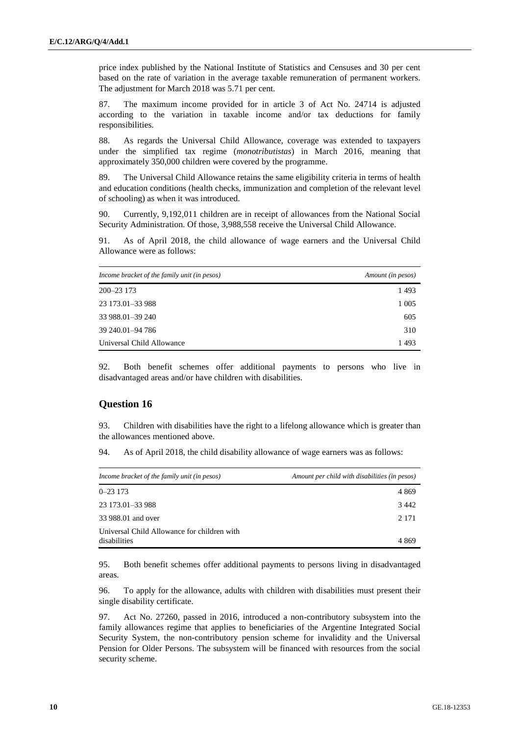price index published by the National Institute of Statistics and Censuses and 30 per cent based on the rate of variation in the average taxable remuneration of permanent workers. The adjustment for March 2018 was 5.71 per cent.

87. The maximum income provided for in article 3 of Act No. 24714 is adjusted according to the variation in taxable income and/or tax deductions for family responsibilities.

88. As regards the Universal Child Allowance, coverage was extended to taxpayers under the simplified tax regime (*monotributistas*) in March 2016, meaning that approximately 350,000 children were covered by the programme.

89. The Universal Child Allowance retains the same eligibility criteria in terms of health and education conditions (health checks, immunization and completion of the relevant level of schooling) as when it was introduced.

90. Currently, 9,192,011 children are in receipt of allowances from the National Social Security Administration. Of those, 3,988,558 receive the Universal Child Allowance.

91. As of April 2018, the child allowance of wage earners and the Universal Child Allowance were as follows:

| Income bracket of the family unit (in pesos) | Amount (in pesos) |
|----------------------------------------------|-------------------|
| 200-23 173                                   | 1493              |
| 23 173.01 - 33 988                           | 1 0 0 5           |
| 33 988.01 - 39 240                           | 605               |
| 39 240.01 - 94 786                           | 310               |
| Universal Child Allowance                    | 1493              |

92. Both benefit schemes offer additional payments to persons who live in disadvantaged areas and/or have children with disabilities.

#### **Question 16**

93. Children with disabilities have the right to a lifelong allowance which is greater than the allowances mentioned above.

94. As of April 2018, the child disability allowance of wage earners was as follows:

| Income bracket of the family unit (in pesos)                | Amount per child with disabilities (in pesos) |
|-------------------------------------------------------------|-----------------------------------------------|
| $0 - 23173$                                                 | 4 8 6 9                                       |
| 23 173.01 - 33 988                                          | 3442                                          |
| 33 988.01 and over                                          | 2 1 7 1                                       |
| Universal Child Allowance for children with<br>disabilities | 4869                                          |

95. Both benefit schemes offer additional payments to persons living in disadvantaged areas.

96. To apply for the allowance, adults with children with disabilities must present their single disability certificate.

97. Act No. 27260, passed in 2016, introduced a non-contributory subsystem into the family allowances regime that applies to beneficiaries of the Argentine Integrated Social Security System, the non-contributory pension scheme for invalidity and the Universal Pension for Older Persons. The subsystem will be financed with resources from the social security scheme.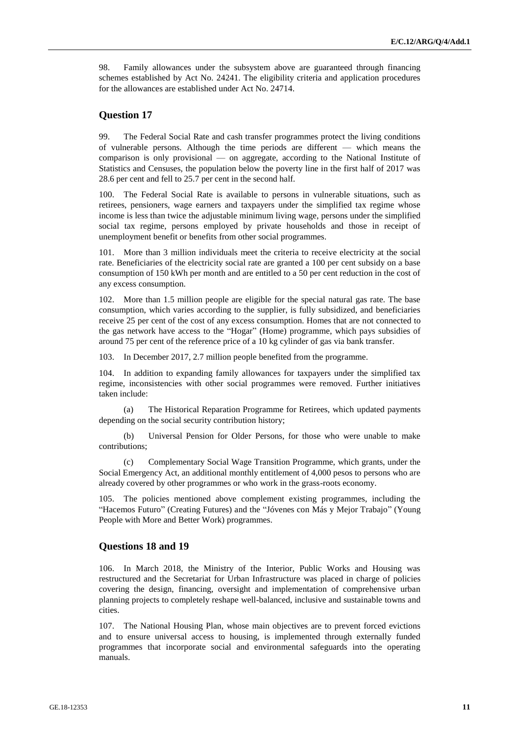98. Family allowances under the subsystem above are guaranteed through financing schemes established by Act No. 24241. The eligibility criteria and application procedures for the allowances are established under Act No. 24714.

#### **Question 17**

99. The Federal Social Rate and cash transfer programmes protect the living conditions of vulnerable persons. Although the time periods are different — which means the comparison is only provisional — on aggregate, according to the National Institute of Statistics and Censuses, the population below the poverty line in the first half of 2017 was 28.6 per cent and fell to 25.7 per cent in the second half.

100. The Federal Social Rate is available to persons in vulnerable situations, such as retirees, pensioners, wage earners and taxpayers under the simplified tax regime whose income is less than twice the adjustable minimum living wage, persons under the simplified social tax regime, persons employed by private households and those in receipt of unemployment benefit or benefits from other social programmes.

101. More than 3 million individuals meet the criteria to receive electricity at the social rate. Beneficiaries of the electricity social rate are granted a 100 per cent subsidy on a base consumption of 150 kWh per month and are entitled to a 50 per cent reduction in the cost of any excess consumption.

102. More than 1.5 million people are eligible for the special natural gas rate. The base consumption, which varies according to the supplier, is fully subsidized, and beneficiaries receive 25 per cent of the cost of any excess consumption. Homes that are not connected to the gas network have access to the "Hogar" (Home) programme, which pays subsidies of around 75 per cent of the reference price of a 10 kg cylinder of gas via bank transfer.

103. In December 2017, 2.7 million people benefited from the programme.

104. In addition to expanding family allowances for taxpayers under the simplified tax regime, inconsistencies with other social programmes were removed. Further initiatives taken include:

(a) The Historical Reparation Programme for Retirees, which updated payments depending on the social security contribution history;

(b) Universal Pension for Older Persons, for those who were unable to make contributions;

(c) Complementary Social Wage Transition Programme, which grants, under the Social Emergency Act, an additional monthly entitlement of 4,000 pesos to persons who are already covered by other programmes or who work in the grass-roots economy.

105. The policies mentioned above complement existing programmes, including the "Hacemos Futuro" (Creating Futures) and the "Jóvenes con Más y Mejor Trabajo" (Young People with More and Better Work) programmes.

#### **Questions 18 and 19**

106. In March 2018, the Ministry of the Interior, Public Works and Housing was restructured and the Secretariat for Urban Infrastructure was placed in charge of policies covering the design, financing, oversight and implementation of comprehensive urban planning projects to completely reshape well-balanced, inclusive and sustainable towns and cities.

107. The National Housing Plan, whose main objectives are to prevent forced evictions and to ensure universal access to housing, is implemented through externally funded programmes that incorporate social and environmental safeguards into the operating manuals.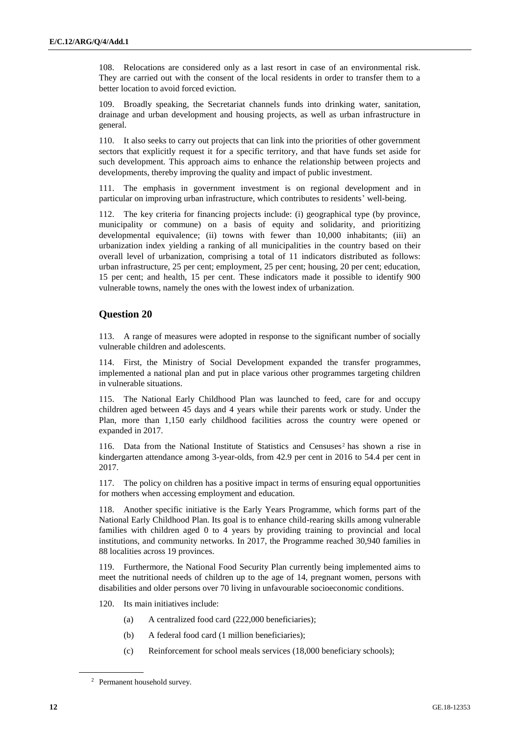108. Relocations are considered only as a last resort in case of an environmental risk. They are carried out with the consent of the local residents in order to transfer them to a better location to avoid forced eviction.

109. Broadly speaking, the Secretariat channels funds into drinking water, sanitation, drainage and urban development and housing projects, as well as urban infrastructure in general.

110. It also seeks to carry out projects that can link into the priorities of other government sectors that explicitly request it for a specific territory, and that have funds set aside for such development. This approach aims to enhance the relationship between projects and developments, thereby improving the quality and impact of public investment.

111. The emphasis in government investment is on regional development and in particular on improving urban infrastructure, which contributes to residents' well-being.

112. The key criteria for financing projects include: (i) geographical type (by province, municipality or commune) on a basis of equity and solidarity, and prioritizing developmental equivalence; (ii) towns with fewer than 10,000 inhabitants; (iii) an urbanization index yielding a ranking of all municipalities in the country based on their overall level of urbanization, comprising a total of 11 indicators distributed as follows: urban infrastructure, 25 per cent; employment, 25 per cent; housing, 20 per cent; education, 15 per cent; and health, 15 per cent. These indicators made it possible to identify 900 vulnerable towns, namely the ones with the lowest index of urbanization.

#### **Question 20**

113. A range of measures were adopted in response to the significant number of socially vulnerable children and adolescents.

114. First, the Ministry of Social Development expanded the transfer programmes, implemented a national plan and put in place various other programmes targeting children in vulnerable situations.

115. The National Early Childhood Plan was launched to feed, care for and occupy children aged between 45 days and 4 years while their parents work or study. Under the Plan, more than 1,150 early childhood facilities across the country were opened or expanded in 2017.

116. Data from the National Institute of Statistics and Censuses<sup>2</sup> has shown a rise in kindergarten attendance among 3-year-olds, from 42.9 per cent in 2016 to 54.4 per cent in 2017.

117. The policy on children has a positive impact in terms of ensuring equal opportunities for mothers when accessing employment and education.

118. Another specific initiative is the Early Years Programme, which forms part of the National Early Childhood Plan. Its goal is to enhance child-rearing skills among vulnerable families with children aged 0 to 4 years by providing training to provincial and local institutions, and community networks. In 2017, the Programme reached 30,940 families in 88 localities across 19 provinces.

119. Furthermore, the National Food Security Plan currently being implemented aims to meet the nutritional needs of children up to the age of 14, pregnant women, persons with disabilities and older persons over 70 living in unfavourable socioeconomic conditions.

- 120. Its main initiatives include:
	- (a) A centralized food card (222,000 beneficiaries);
	- (b) A federal food card (1 million beneficiaries);
	- (c) Reinforcement for school meals services (18,000 beneficiary schools);

<sup>2</sup> Permanent household survey.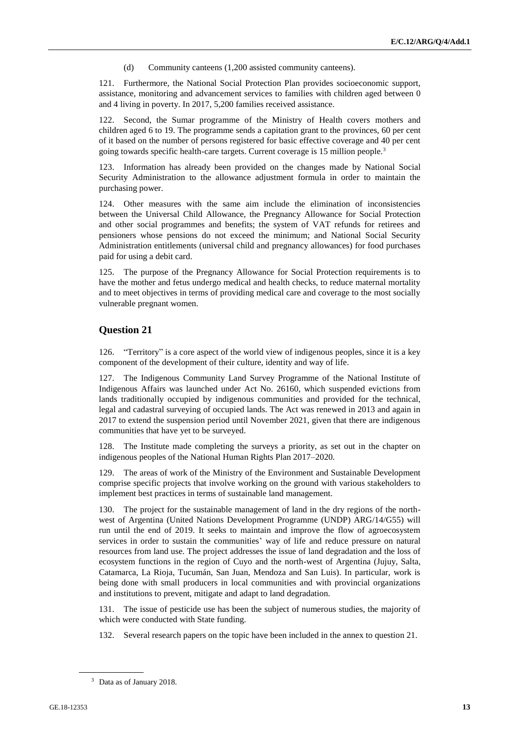(d) Community canteens (1,200 assisted community canteens).

121. Furthermore, the National Social Protection Plan provides socioeconomic support, assistance, monitoring and advancement services to families with children aged between 0 and 4 living in poverty. In 2017, 5,200 families received assistance.

122. Second, the Sumar programme of the Ministry of Health covers mothers and children aged 6 to 19. The programme sends a capitation grant to the provinces, 60 per cent of it based on the number of persons registered for basic effective coverage and 40 per cent going towards specific health-care targets. Current coverage is 15 million people.<sup>3</sup>

Information has already been provided on the changes made by National Social Security Administration to the allowance adjustment formula in order to maintain the purchasing power.

124. Other measures with the same aim include the elimination of inconsistencies between the Universal Child Allowance, the Pregnancy Allowance for Social Protection and other social programmes and benefits; the system of VAT refunds for retirees and pensioners whose pensions do not exceed the minimum; and National Social Security Administration entitlements (universal child and pregnancy allowances) for food purchases paid for using a debit card.

125. The purpose of the Pregnancy Allowance for Social Protection requirements is to have the mother and fetus undergo medical and health checks, to reduce maternal mortality and to meet objectives in terms of providing medical care and coverage to the most socially vulnerable pregnant women.

#### **Question 21**

126. "Territory" is a core aspect of the world view of indigenous peoples, since it is a key component of the development of their culture, identity and way of life.

127. The Indigenous Community Land Survey Programme of the National Institute of Indigenous Affairs was launched under Act No. 26160, which suspended evictions from lands traditionally occupied by indigenous communities and provided for the technical, legal and cadastral surveying of occupied lands. The Act was renewed in 2013 and again in 2017 to extend the suspension period until November 2021, given that there are indigenous communities that have yet to be surveyed.

128. The Institute made completing the surveys a priority, as set out in the chapter on indigenous peoples of the National Human Rights Plan 2017–2020.

129. The areas of work of the Ministry of the Environment and Sustainable Development comprise specific projects that involve working on the ground with various stakeholders to implement best practices in terms of sustainable land management.

130. The project for the sustainable management of land in the dry regions of the northwest of Argentina (United Nations Development Programme (UNDP) ARG/14/G55) will run until the end of 2019. It seeks to maintain and improve the flow of agroecosystem services in order to sustain the communities' way of life and reduce pressure on natural resources from land use. The project addresses the issue of land degradation and the loss of ecosystem functions in the region of Cuyo and the north-west of Argentina (Jujuy, Salta, Catamarca, La Rioja, Tucumán, San Juan, Mendoza and San Luis). In particular, work is being done with small producers in local communities and with provincial organizations and institutions to prevent, mitigate and adapt to land degradation.

131. The issue of pesticide use has been the subject of numerous studies, the majority of which were conducted with State funding.

132. Several research papers on the topic have been included in the annex to question 21.

<sup>3</sup> Data as of January 2018.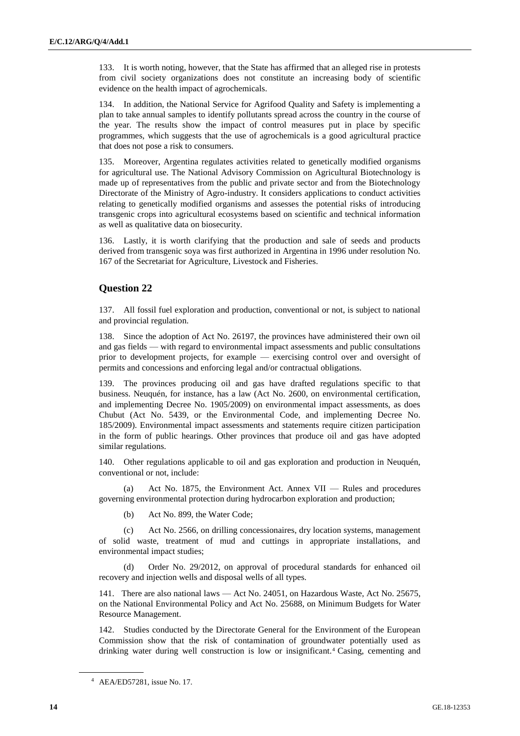133. It is worth noting, however, that the State has affirmed that an alleged rise in protests from civil society organizations does not constitute an increasing body of scientific evidence on the health impact of agrochemicals.

134. In addition, the National Service for Agrifood Quality and Safety is implementing a plan to take annual samples to identify pollutants spread across the country in the course of the year. The results show the impact of control measures put in place by specific programmes, which suggests that the use of agrochemicals is a good agricultural practice that does not pose a risk to consumers.

135. Moreover, Argentina regulates activities related to genetically modified organisms for agricultural use. The National Advisory Commission on Agricultural Biotechnology is made up of representatives from the public and private sector and from the Biotechnology Directorate of the Ministry of Agro-industry. It considers applications to conduct activities relating to genetically modified organisms and assesses the potential risks of introducing transgenic crops into agricultural ecosystems based on scientific and technical information as well as qualitative data on biosecurity.

136. Lastly, it is worth clarifying that the production and sale of seeds and products derived from transgenic soya was first authorized in Argentina in 1996 under resolution No. 167 of the Secretariat for Agriculture, Livestock and Fisheries.

#### **Question 22**

137. All fossil fuel exploration and production, conventional or not, is subject to national and provincial regulation.

138. Since the adoption of Act No. 26197, the provinces have administered their own oil and gas fields — with regard to environmental impact assessments and public consultations prior to development projects, for example — exercising control over and oversight of permits and concessions and enforcing legal and/or contractual obligations.

139. The provinces producing oil and gas have drafted regulations specific to that business. Neuquén, for instance, has a law (Act No. 2600, on environmental certification, and implementing Decree No. 1905/2009) on environmental impact assessments, as does Chubut (Act No. 5439, or the Environmental Code, and implementing Decree No. 185/2009). Environmental impact assessments and statements require citizen participation in the form of public hearings. Other provinces that produce oil and gas have adopted similar regulations.

140. Other regulations applicable to oil and gas exploration and production in Neuquén, conventional or not, include:

Act No. 1875, the Environment Act. Annex  $VII$  — Rules and procedures governing environmental protection during hydrocarbon exploration and production;

(b) Act No. 899, the Water Code;

(c) Act No. 2566, on drilling concessionaires, dry location systems, management of solid waste, treatment of mud and cuttings in appropriate installations, and environmental impact studies;

(d) Order No. 29/2012, on approval of procedural standards for enhanced oil recovery and injection wells and disposal wells of all types.

141. There are also national laws — Act No. 24051, on Hazardous Waste, Act No. 25675, on the National Environmental Policy and Act No. 25688, on Minimum Budgets for Water Resource Management.

142. Studies conducted by the Directorate General for the Environment of the European Commission show that the risk of contamination of groundwater potentially used as drinking water during well construction is low or insignificant.<sup>4</sup> Casing, cementing and

<sup>4</sup> AEA/ED57281, issue No. 17.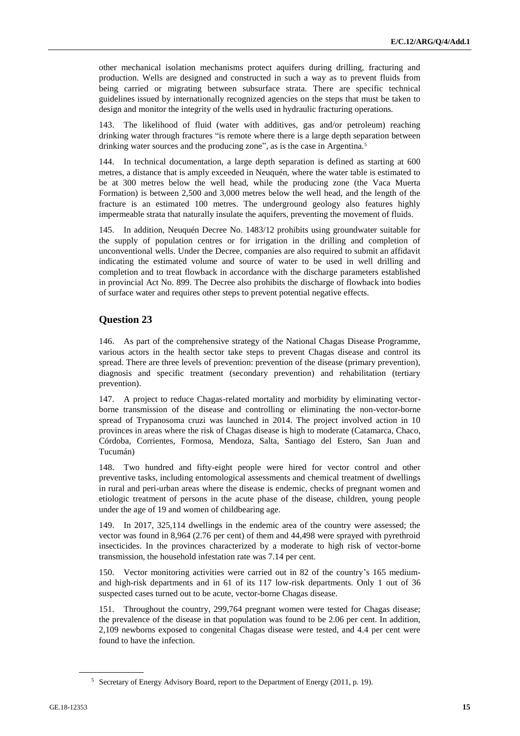other mechanical isolation mechanisms protect aquifers during drilling, fracturing and production. Wells are designed and constructed in such a way as to prevent fluids from being carried or migrating between subsurface strata. There are specific technical guidelines issued by internationally recognized agencies on the steps that must be taken to design and monitor the integrity of the wells used in hydraulic fracturing operations.

143. The likelihood of fluid (water with additives, gas and/or petroleum) reaching drinking water through fractures "is remote where there is a large depth separation between drinking water sources and the producing zone", as is the case in Argentina.<sup>5</sup>

144. In technical documentation, a large depth separation is defined as starting at 600 metres, a distance that is amply exceeded in Neuquén, where the water table is estimated to be at 300 metres below the well head, while the producing zone (the Vaca Muerta Formation) is between 2,500 and 3,000 metres below the well head, and the length of the fracture is an estimated 100 metres. The underground geology also features highly impermeable strata that naturally insulate the aquifers, preventing the movement of fluids.

145. In addition, Neuquén Decree No. 1483/12 prohibits using groundwater suitable for the supply of population centres or for irrigation in the drilling and completion of unconventional wells. Under the Decree, companies are also required to submit an affidavit indicating the estimated volume and source of water to be used in well drilling and completion and to treat flowback in accordance with the discharge parameters established in provincial Act No. 899. The Decree also prohibits the discharge of flowback into bodies of surface water and requires other steps to prevent potential negative effects.

#### **Question 23**

146. As part of the comprehensive strategy of the National Chagas Disease Programme, various actors in the health sector take steps to prevent Chagas disease and control its spread. There are three levels of prevention: prevention of the disease (primary prevention), diagnosis and specific treatment (secondary prevention) and rehabilitation (tertiary prevention).

147. A project to reduce Chagas-related mortality and morbidity by eliminating vectorborne transmission of the disease and controlling or eliminating the non-vector-borne spread of Trypanosoma cruzi was launched in 2014. The project involved action in 10 provinces in areas where the risk of Chagas disease is high to moderate (Catamarca, Chaco, Córdoba, Corrientes, Formosa, Mendoza, Salta, Santiago del Estero, San Juan and Tucumán)

148. Two hundred and fifty-eight people were hired for vector control and other preventive tasks, including entomological assessments and chemical treatment of dwellings in rural and peri-urban areas where the disease is endemic, checks of pregnant women and etiologic treatment of persons in the acute phase of the disease, children, young people under the age of 19 and women of childbearing age.

149. In 2017, 325,114 dwellings in the endemic area of the country were assessed; the vector was found in 8,964 (2.76 per cent) of them and 44,498 were sprayed with pyrethroid insecticides. In the provinces characterized by a moderate to high risk of vector-borne transmission, the household infestation rate was 7.14 per cent.

150. Vector monitoring activities were carried out in 82 of the country's 165 mediumand high-risk departments and in 61 of its 117 low-risk departments. Only 1 out of 36 suspected cases turned out to be acute, vector-borne Chagas disease.

151. Throughout the country, 299,764 pregnant women were tested for Chagas disease; the prevalence of the disease in that population was found to be 2.06 per cent. In addition, 2,109 newborns exposed to congenital Chagas disease were tested, and 4.4 per cent were found to have the infection.

<sup>5</sup> Secretary of Energy Advisory Board, report to the Department of Energy (2011, p. 19).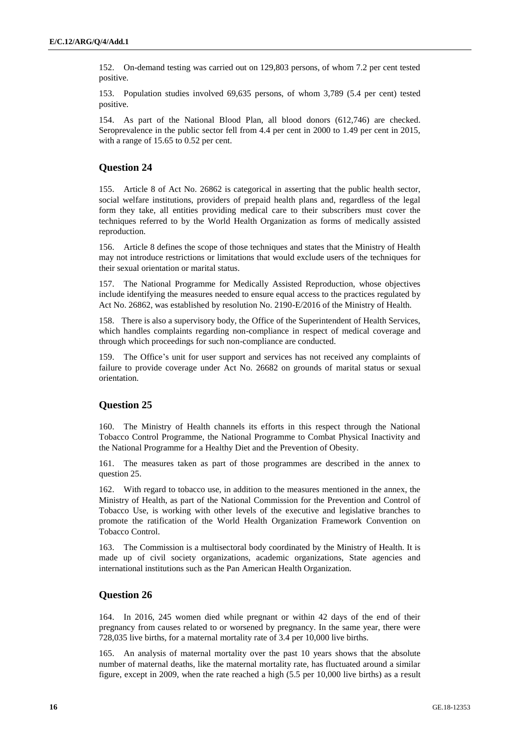152. On-demand testing was carried out on 129,803 persons, of whom 7.2 per cent tested positive.

153. Population studies involved 69,635 persons, of whom 3,789 (5.4 per cent) tested positive.

154. As part of the National Blood Plan, all blood donors (612,746) are checked. Seroprevalence in the public sector fell from 4.4 per cent in 2000 to 1.49 per cent in 2015, with a range of 15.65 to 0.52 per cent.

#### **Question 24**

155. Article 8 of Act No. 26862 is categorical in asserting that the public health sector, social welfare institutions, providers of prepaid health plans and, regardless of the legal form they take, all entities providing medical care to their subscribers must cover the techniques referred to by the World Health Organization as forms of medically assisted reproduction.

156. Article 8 defines the scope of those techniques and states that the Ministry of Health may not introduce restrictions or limitations that would exclude users of the techniques for their sexual orientation or marital status.

157. The National Programme for Medically Assisted Reproduction, whose objectives include identifying the measures needed to ensure equal access to the practices regulated by Act No. 26862, was established by resolution No. 2190-E/2016 of the Ministry of Health.

158. There is also a supervisory body, the Office of the Superintendent of Health Services, which handles complaints regarding non-compliance in respect of medical coverage and through which proceedings for such non-compliance are conducted.

159. The Office's unit for user support and services has not received any complaints of failure to provide coverage under Act No. 26682 on grounds of marital status or sexual orientation.

#### **Question 25**

160. The Ministry of Health channels its efforts in this respect through the National Tobacco Control Programme, the National Programme to Combat Physical Inactivity and the National Programme for a Healthy Diet and the Prevention of Obesity.

161. The measures taken as part of those programmes are described in the annex to question 25.

162. With regard to tobacco use, in addition to the measures mentioned in the annex, the Ministry of Health, as part of the National Commission for the Prevention and Control of Tobacco Use, is working with other levels of the executive and legislative branches to promote the ratification of the World Health Organization Framework Convention on Tobacco Control.

163. The Commission is a multisectoral body coordinated by the Ministry of Health. It is made up of civil society organizations, academic organizations, State agencies and international institutions such as the Pan American Health Organization.

#### **Question 26**

164. In 2016, 245 women died while pregnant or within 42 days of the end of their pregnancy from causes related to or worsened by pregnancy. In the same year, there were 728,035 live births, for a maternal mortality rate of 3.4 per 10,000 live births.

165. An analysis of maternal mortality over the past 10 years shows that the absolute number of maternal deaths, like the maternal mortality rate, has fluctuated around a similar figure, except in 2009, when the rate reached a high (5.5 per 10,000 live births) as a result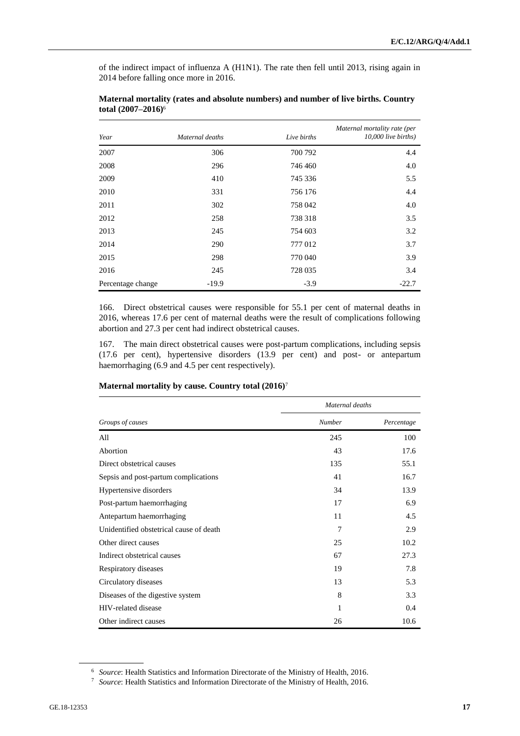of the indirect impact of influenza A (H1N1). The rate then fell until 2013, rising again in 2014 before falling once more in 2016.

| Year              | Maternal deaths | Live births | Maternal mortality rate (per<br>$10,000$ live births) |
|-------------------|-----------------|-------------|-------------------------------------------------------|
| 2007              | 306             | 700 792     | 4.4                                                   |
| 2008              | 296             | 746 460     | 4.0                                                   |
| 2009              | 410             | 745 336     | 5.5                                                   |
| 2010              | 331             | 756 176     | 4.4                                                   |
| 2011              | 302             | 758 042     | 4.0                                                   |
| 2012              | 258             | 738 318     | 3.5                                                   |
| 2013              | 245             | 754 603     | 3.2                                                   |
| 2014              | 290             | 777012      | 3.7                                                   |
| 2015              | 298             | 770 040     | 3.9                                                   |
| 2016              | 245             | 728 035     | 3.4                                                   |
| Percentage change | $-19.9$         | $-3.9$      | $-22.7$                                               |

#### **Maternal mortality (rates and absolute numbers) and number of live births. Country total (2007–2016)**<sup>6</sup>

166. Direct obstetrical causes were responsible for 55.1 per cent of maternal deaths in 2016, whereas 17.6 per cent of maternal deaths were the result of complications following abortion and 27.3 per cent had indirect obstetrical causes.

167. The main direct obstetrical causes were post-partum complications, including sepsis (17.6 per cent), hypertensive disorders (13.9 per cent) and post- or antepartum haemorrhaging (6.9 and 4.5 per cent respectively).

|                                         | Maternal deaths |            |
|-----------------------------------------|-----------------|------------|
| Groups of causes                        | Number          | Percentage |
| All                                     | 245             | 100        |
| Abortion                                | 43              | 17.6       |
| Direct obstetrical causes               | 135             | 55.1       |
| Sepsis and post-partum complications    | 41              | 16.7       |
| Hypertensive disorders                  | 34              | 13.9       |
| Post-partum haemorrhaging               | 17              | 6.9        |
| Antepartum haemorrhaging                | 11              | 4.5        |
| Unidentified obstetrical cause of death | 7               | 2.9        |
| Other direct causes                     | 25              | 10.2       |
| Indirect obstetrical causes             | 67              | 27.3       |
| Respiratory diseases                    | 19              | 7.8        |
| Circulatory diseases                    | 13              | 5.3        |
| Diseases of the digestive system        | 8               | 3.3        |
| HIV-related disease                     | 1               | 0.4        |
| Other indirect causes                   | 26              | 10.6       |

#### **Maternal mortality by cause. Country total (2016)**<sup>7</sup>

<sup>6</sup> *Source*: Health Statistics and Information Directorate of the Ministry of Health, 2016.

<sup>7</sup> *Source*: Health Statistics and Information Directorate of the Ministry of Health, 2016.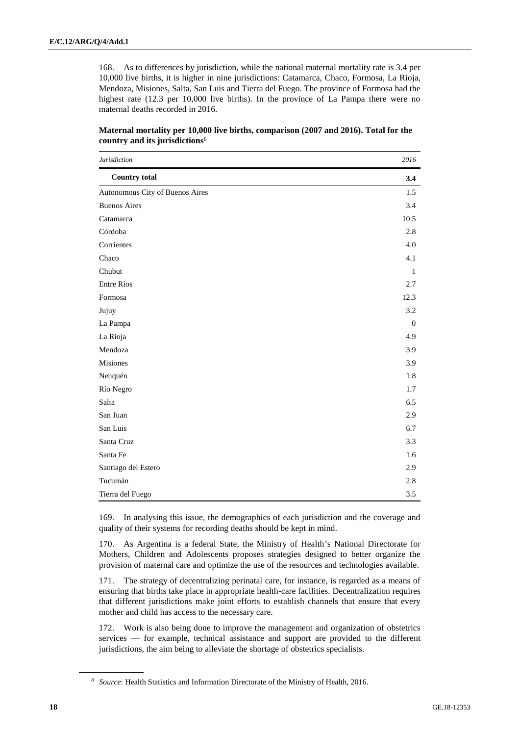168. As to differences by jurisdiction, while the national maternal mortality rate is 3.4 per 10,000 live births, it is higher in nine jurisdictions: Catamarca, Chaco, Formosa, La Rioja, Mendoza, Misiones, Salta, San Luis and Tierra del Fuego. The province of Formosa had the highest rate (12.3 per 10,000 live births). In the province of La Pampa there were no maternal deaths recorded in 2016.

| Jurisdiction                    | 2016         |
|---------------------------------|--------------|
| <b>Country total</b>            | 3.4          |
| Autonomous City of Buenos Aires | 1.5          |
| <b>Buenos Aires</b>             | 3.4          |
| Catamarca                       | 10.5         |
| Córdoba                         | 2.8          |
| Corrientes                      | 4.0          |
| Chaco                           | 4.1          |
| Chubut                          | $\mathbf{1}$ |
| Entre Ríos                      | 2.7          |
| Formosa                         | 12.3         |
| Jujuy                           | 3.2          |
| La Pampa                        | $\mathbf{0}$ |
| La Rioja                        | 4.9          |
| Mendoza                         | 3.9          |
| Misiones                        | 3.9          |
| Neuquén                         | 1.8          |
| Río Negro                       | 1.7          |
| Salta                           | 6.5          |
| San Juan                        | 2.9          |
| San Luis                        | 6.7          |
| Santa Cruz                      | 3.3          |
| Santa Fe                        | 1.6          |
| Santiago del Estero             | 2.9          |
| Tucumán                         | 2.8          |
| Tierra del Fuego                | 3.5          |

| Maternal mortality per 10,000 live births, comparison (2007 and 2016). Total for the |  |  |  |
|--------------------------------------------------------------------------------------|--|--|--|
| country and its jurisdictions <sup>8</sup>                                           |  |  |  |

169. In analysing this issue, the demographics of each jurisdiction and the coverage and quality of their systems for recording deaths should be kept in mind.

170. As Argentina is a federal State, the Ministry of Health's National Directorate for Mothers, Children and Adolescents proposes strategies designed to better organize the provision of maternal care and optimize the use of the resources and technologies available.

171. The strategy of decentralizing perinatal care, for instance, is regarded as a means of ensuring that births take place in appropriate health-care facilities. Decentralization requires that different jurisdictions make joint efforts to establish channels that ensure that every mother and child has access to the necessary care.

172. Work is also being done to improve the management and organization of obstetrics services — for example, technical assistance and support are provided to the different jurisdictions, the aim being to alleviate the shortage of obstetrics specialists.

<sup>8</sup> *Source*: Health Statistics and Information Directorate of the Ministry of Health, 2016.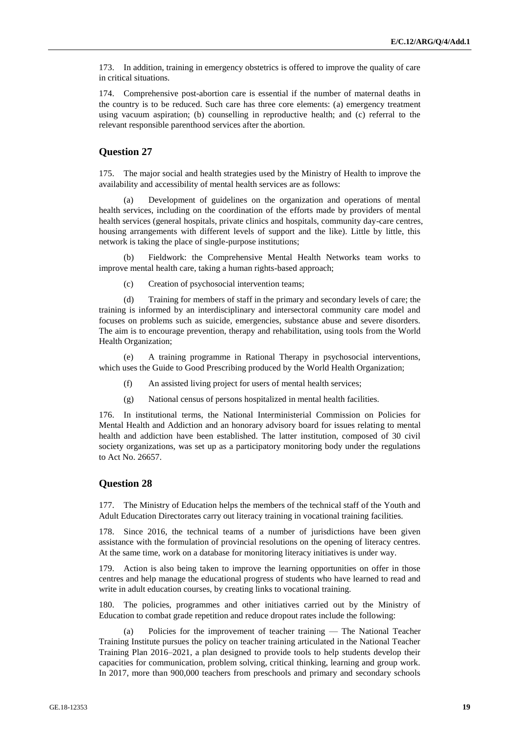173. In addition, training in emergency obstetrics is offered to improve the quality of care in critical situations.

174. Comprehensive post-abortion care is essential if the number of maternal deaths in the country is to be reduced. Such care has three core elements: (a) emergency treatment using vacuum aspiration; (b) counselling in reproductive health; and (c) referral to the relevant responsible parenthood services after the abortion.

#### **Question 27**

175. The major social and health strategies used by the Ministry of Health to improve the availability and accessibility of mental health services are as follows:

(a) Development of guidelines on the organization and operations of mental health services, including on the coordination of the efforts made by providers of mental health services (general hospitals, private clinics and hospitals, community day-care centres, housing arrangements with different levels of support and the like). Little by little, this network is taking the place of single-purpose institutions;

(b) Fieldwork: the Comprehensive Mental Health Networks team works to improve mental health care, taking a human rights-based approach;

(c) Creation of psychosocial intervention teams;

(d) Training for members of staff in the primary and secondary levels of care; the training is informed by an interdisciplinary and intersectoral community care model and focuses on problems such as suicide, emergencies, substance abuse and severe disorders. The aim is to encourage prevention, therapy and rehabilitation, using tools from the World Health Organization;

(e) A training programme in Rational Therapy in psychosocial interventions, which uses the Guide to Good Prescribing produced by the World Health Organization;

- (f) An assisted living project for users of mental health services;
- (g) National census of persons hospitalized in mental health facilities.

176. In institutional terms, the National Interministerial Commission on Policies for Mental Health and Addiction and an honorary advisory board for issues relating to mental health and addiction have been established. The latter institution, composed of 30 civil society organizations, was set up as a participatory monitoring body under the regulations to Act No. 26657.

#### **Question 28**

177. The Ministry of Education helps the members of the technical staff of the Youth and Adult Education Directorates carry out literacy training in vocational training facilities.

178. Since 2016, the technical teams of a number of jurisdictions have been given assistance with the formulation of provincial resolutions on the opening of literacy centres. At the same time, work on a database for monitoring literacy initiatives is under way.

179. Action is also being taken to improve the learning opportunities on offer in those centres and help manage the educational progress of students who have learned to read and write in adult education courses, by creating links to vocational training.

180. The policies, programmes and other initiatives carried out by the Ministry of Education to combat grade repetition and reduce dropout rates include the following:

(a) Policies for the improvement of teacher training — The National Teacher Training Institute pursues the policy on teacher training articulated in the National Teacher Training Plan 2016–2021, a plan designed to provide tools to help students develop their capacities for communication, problem solving, critical thinking, learning and group work. In 2017, more than 900,000 teachers from preschools and primary and secondary schools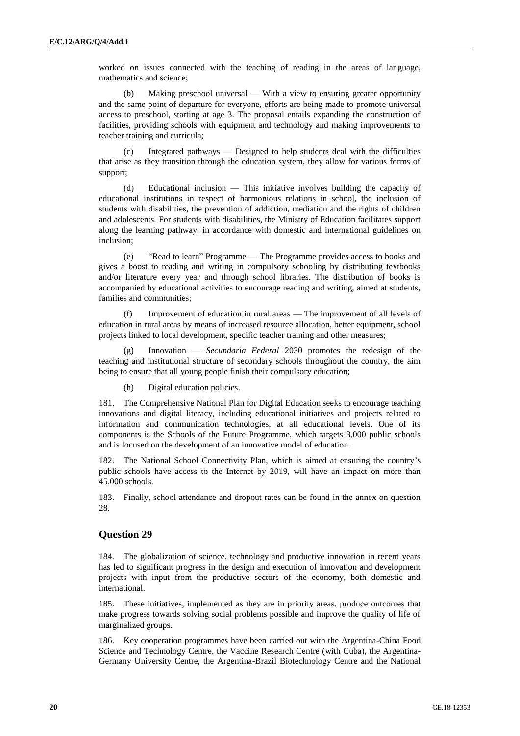worked on issues connected with the teaching of reading in the areas of language, mathematics and science;

(b) Making preschool universal — With a view to ensuring greater opportunity and the same point of departure for everyone, efforts are being made to promote universal access to preschool, starting at age 3. The proposal entails expanding the construction of facilities, providing schools with equipment and technology and making improvements to teacher training and curricula;

(c) Integrated pathways — Designed to help students deal with the difficulties that arise as they transition through the education system, they allow for various forms of support;

(d) Educational inclusion — This initiative involves building the capacity of educational institutions in respect of harmonious relations in school, the inclusion of students with disabilities, the prevention of addiction, mediation and the rights of children and adolescents. For students with disabilities, the Ministry of Education facilitates support along the learning pathway, in accordance with domestic and international guidelines on inclusion;

(e) "Read to learn" Programme — The Programme provides access to books and gives a boost to reading and writing in compulsory schooling by distributing textbooks and/or literature every year and through school libraries. The distribution of books is accompanied by educational activities to encourage reading and writing, aimed at students, families and communities;

Improvement of education in rural areas — The improvement of all levels of education in rural areas by means of increased resource allocation, better equipment, school projects linked to local development, specific teacher training and other measures;

Innovation — *Secundaria Federal* 2030 promotes the redesign of the teaching and institutional structure of secondary schools throughout the country, the aim being to ensure that all young people finish their compulsory education;

(h) Digital education policies.

181. The Comprehensive National Plan for Digital Education seeks to encourage teaching innovations and digital literacy, including educational initiatives and projects related to information and communication technologies, at all educational levels. One of its components is the Schools of the Future Programme, which targets 3,000 public schools and is focused on the development of an innovative model of education.

182. The National School Connectivity Plan, which is aimed at ensuring the country's public schools have access to the Internet by 2019, will have an impact on more than 45,000 schools.

183. Finally, school attendance and dropout rates can be found in the annex on question 28.

#### **Question 29**

184. The globalization of science, technology and productive innovation in recent years has led to significant progress in the design and execution of innovation and development projects with input from the productive sectors of the economy, both domestic and international.

185. These initiatives, implemented as they are in priority areas, produce outcomes that make progress towards solving social problems possible and improve the quality of life of marginalized groups.

186. Key cooperation programmes have been carried out with the Argentina-China Food Science and Technology Centre, the Vaccine Research Centre (with Cuba), the Argentina-Germany University Centre, the Argentina-Brazil Biotechnology Centre and the National